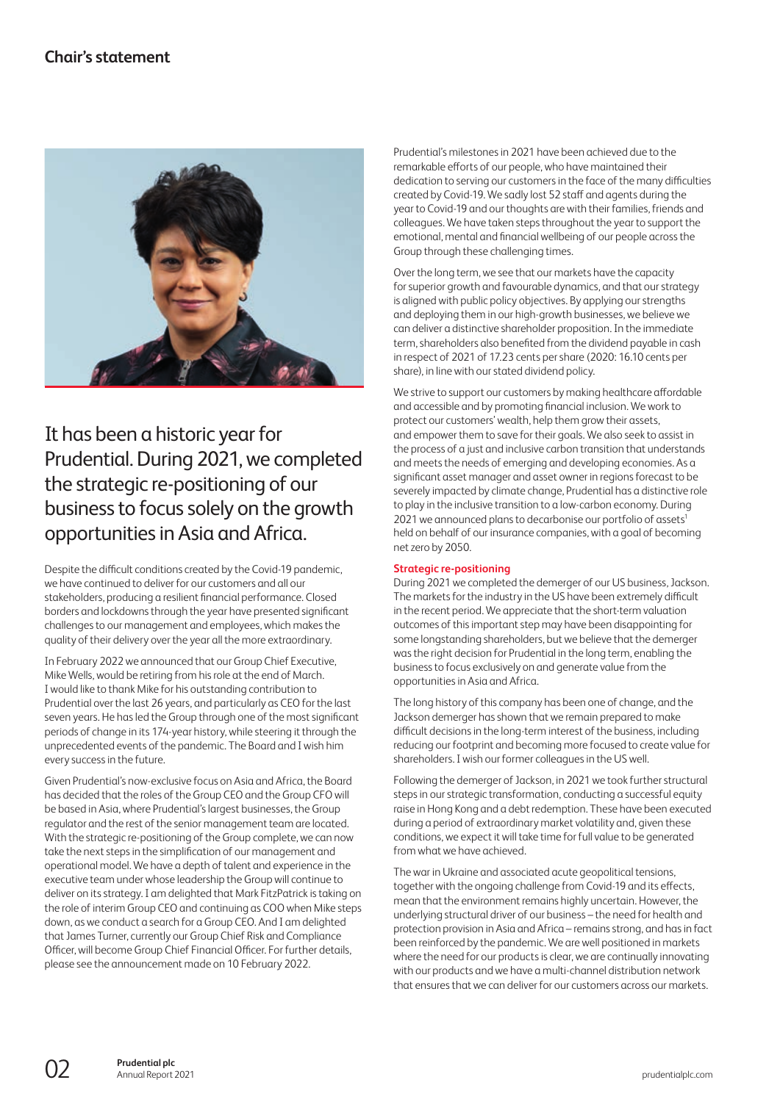<span id="page-0-0"></span>

# It has been a historic year for Prudential. During 2021, we completed the strategic re-positioning of our business to focus solely on the growth opportunities in Asia and Africa.

Despite the difficult conditions created by the Covid-19 pandemic, we have continued to deliver for our customers and all our stakeholders, producing a resilient financial performance. Closed borders and lockdowns through the year have presented significant challenges to our management and employees, which makes the quality of their delivery over the year all the more extraordinary.

In February 2022 we announced that our Group Chief Executive, Mike Wells, would be retiring from his role at the end of March. I would like to thank Mike for his outstanding contribution to Prudential over the last 26 years, and particularly as CEO for the last seven years. He has led the Group through one of the most significant periods of change in its 174-year history, while steering it through the unprecedented events of the pandemic. The Board and I wish him every success in the future.

Given Prudential's now-exclusive focus on Asia and Africa, the Board has decided that the roles of the Group CEO and the Group CFO will be based in Asia, where Prudential's largest businesses, the Group regulator and the rest of the senior management team are located. With the strategic re-positioning of the Group complete, we can now take the next steps in the simplification of our management and operational model. We have a depth of talent and experience in the executive team under whose leadership the Group will continue to deliver on its strategy. I am delighted that Mark FitzPatrick is taking on the role of interim Group CEO and continuing as COO when Mike steps down, as we conduct a search for a Group CEO. And I am delighted that James Turner, currently our Group Chief Risk and Compliance Officer, will become Group Chief Financial Officer. For further details, please see the announcement made on 10 February 2022.

Prudential's milestones in 2021 have been achieved due to the remarkable efforts of our people, who have maintained their dedication to serving our customers in the face of the many difficulties created by Covid-19. We sadly lost 52 staff and agents during the year to Covid-19 and our thoughts are with their families, friends and colleagues. We have taken steps throughout the year to support the emotional, mental and financial wellbeing of our people across the Group through these challenging times.

Over the long term, we see that our markets have the capacity for superior growth and favourable dynamics, and that our strategy is aligned with public policy objectives. By applying our strengths and deploying them in our high-growth businesses, we believe we can deliver a distinctive shareholder proposition. In the immediate term, shareholders also benefited from the dividend payable in cash in respect of 2021 of 17.23 cents per share (2020: 16.10 cents per share), in line with our stated dividend policy.

We strive to support our customers by making healthcare affordable and accessible and by promoting financial inclusion. We work to protect our customers' wealth, help them grow their assets, and empower them to save for their goals. We also seek to assist in the process of a just and inclusive carbon transition that understands and meets the needs of emerging and developing economies. As a significant asset manager and asset owner in regions forecast to be severely impacted by climate change, Prudential has a distinctive role to play in the inclusive transition to a low-carbon economy. During 2021 we announced plans to decarbonise our portfolio of assets<sup>1</sup> held on behalf of our insurance companies, with a goal of becoming net zero by 2050.

### **Strategic re-positioning**

During 2021 we completed the demerger of our US business, Jackson. The markets for the industry in the US have been extremely difficult in the recent period. We appreciate that the short-term valuation outcomes of this important step may have been disappointing for some longstanding shareholders, but we believe that the demerger was the right decision for Prudential in the long term, enabling the business to focus exclusively on and generate value from the opportunities in Asia and Africa.

The long history of this company has been one of change, and the Jackson demerger has shown that we remain prepared to make difficult decisions in the long-term interest of the business, including reducing our footprint and becoming more focused to create value for shareholders. I wish our former colleagues in the US well.

Following the demerger of Jackson, in 2021 we took further structural steps in our strategic transformation, conducting a successful equity raise in Hong Kong and a debt redemption. These have been executed during a period of extraordinary market volatility and, given these conditions, we expect it will take time for full value to be generated from what we have achieved.

The war in Ukraine and associated acute geopolitical tensions, together with the ongoing challenge from Covid-19 and its effects, mean that the environment remains highly uncertain. However, the underlying structural driver of our business – the need for health and protection provision in Asia and Africa – remains strong, and has in fact been reinforced by the pandemic. We are well positioned in markets where the need for our products is clear, we are continually innovating with our products and we have a multi-channel distribution network that ensures that we can deliver for our customers across our markets.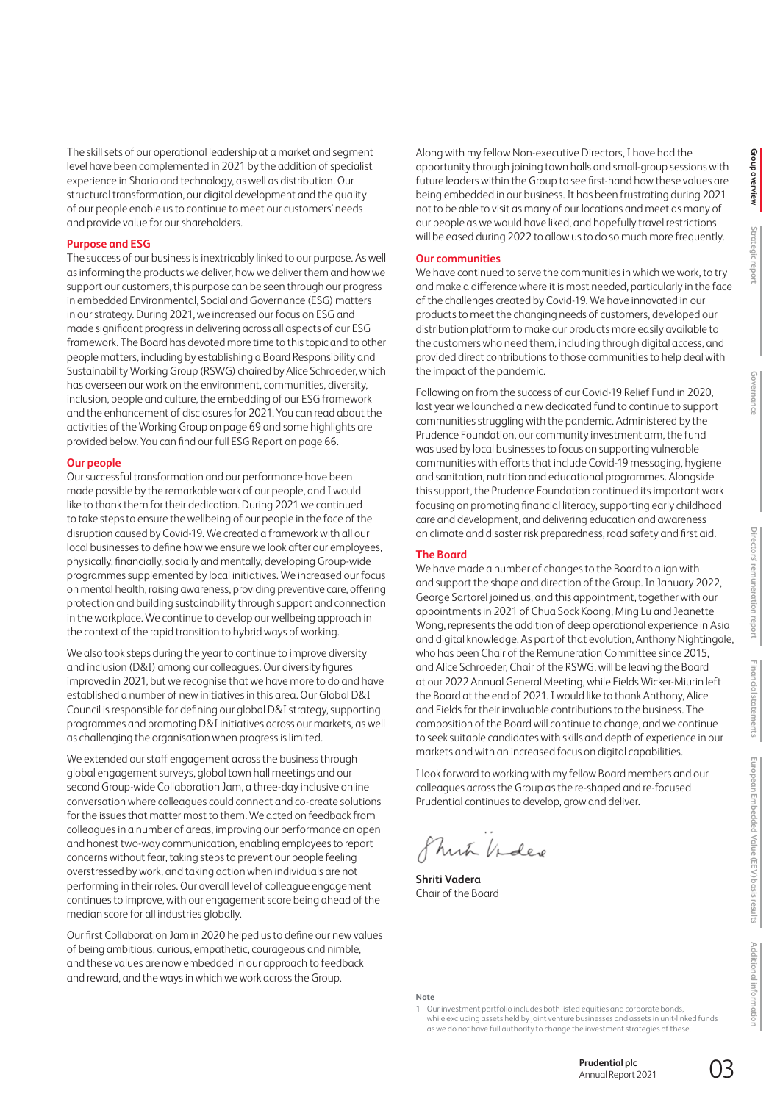The skill sets of our operational leadership at a market and segment level have been complemented in 2021 by the addition of specialist experience in Sharia and technology, as well as distribution. Our structural transformation, our digital development and the quality of our people enable us to continue to meet our customers' needs and provide value for our shareholders.

### **Purpose and ESG**

The success of our business is inextricably linked to our purpose. As well as informing the products we deliver, how we deliver them and how we support our customers, this purpose can be seen through our progress in embedded Environmental, Social and Governance (ESG) matters in our strategy. During 2021, we increased our focus on ESG and made significant progress in delivering across all aspects of our ESG framework. The Board has devoted more time to this topic and to other people matters, including by establishing a Board Responsibility and Sustainability Working Group (RSWG) chaired by Alice Schroeder, which has overseen our work on the environment, communities, diversity, inclusion, people and culture, the embedding of our ESG framework and the enhancement of disclosures for 2021. You can read about the activities of the Working Group on page 69 and some highlights are provided below. You can find our full ESG Report on page 66.

### **Our people**

Our successful transformation and our performance have been made possible by the remarkable work of our people, and I would like to thank them for their dedication. During 2021 we continued to take steps to ensure the wellbeing of our people in the face of the disruption caused by Covid-19. We created a framework with all our local businesses to define how we ensure we look after our employees, physically, financially, socially and mentally, developing Group-wide programmes supplemented by local initiatives. We increased our focus on mental health, raising awareness, providing preventive care, offering protection and building sustainability through support and connection in the workplace. We continue to develop our wellbeing approach in the context of the rapid transition to hybrid ways of working.

We also took steps during the year to continue to improve diversity and inclusion (D&I) among our colleagues. Our diversity figures improved in 2021, but we recognise that we have more to do and have established a number of new initiatives in this area. Our Global D&I Council is responsible for defining our global D&I strategy, supporting programmes and promoting D&I initiatives across our markets, as well as challenging the organisation when progress is limited.

We extended our staff engagement across the business through global engagement surveys, global town hall meetings and our second Group-wide Collaboration Jam, a three-day inclusive online conversation where colleagues could connect and co-create solutions for the issues that matter most to them. We acted on feedback from colleagues in a number of areas, improving our performance on open and honest two-way communication, enabling employees to report concerns without fear, taking steps to prevent our people feeling overstressed by work, and taking action when individuals are not performing in their roles. Our overall level of colleague engagement continues to improve, with our engagement score being ahead of the median score for all industries globally.

Our first Collaboration Jam in 2020 helped us to define our new values of being ambitious, curious, empathetic, courageous and nimble, and these values are now embedded in our approach to feedback and reward, and the ways in which we work across the Group.

Along with my fellow Non-executive Directors, I have had the opportunity through joining town halls and small-group sessions with future leaders within the Group to see first-hand how these values are being embedded in our business. It has been frustrating during 2021 not to be able to visit as many of our locations and meet as many of our people as we would have liked, and hopefully travel restrictions will be eased during 2022 to allow us to do so much more frequently.

### **Our communities**

We have continued to serve the communities in which we work, to try and make a difference where it is most needed, particularly in the face of the challenges created by Covid-19. We have innovated in our products to meet the changing needs of customers, developed our distribution platform to make our products more easily available to the customers who need them, including through digital access, and provided direct contributions to those communities to help deal with the impact of the pandemic.

Following on from the success of our Covid-19 Relief Fund in 2020, last year we launched a new dedicated fund to continue to support communities struggling with the pandemic. Administered by the Prudence Foundation, our community investment arm, the fund was used by local businesses to focus on supporting vulnerable communities with efforts that include Covid-19 messaging, hygiene and sanitation, nutrition and educational programmes. Alongside thissupport, the Prudence Foundation continued its important work focusing on promoting financial literacy, supporting early childhood care and development, and delivering education and awareness on climate and disaster risk preparedness, road safety and first aid.

### **The Board**

We have made a number of changes to the Board to align with and support the shape and direction of the Group. In January 2022, George Sartorel joined us, and this appointment, together with our appointments in 2021 of Chua Sock Koong, Ming Lu and Jeanette Wong, represents the addition of deep operational experience in Asia and digital knowledge. As part of that evolution, Anthony Nightingale, who has been Chair of the Remuneration Committee since 2015, and Alice Schroeder, Chair of the RSWG, will be leaving the Board at our 2022 Annual General Meeting, while Fields Wicker-Miurin left the Board at the end of 2021. I would like to thank Anthony, Alice and Fields for their invaluable contributions to the business. The composition of the Board will continue to change, and we continue to seek suitable candidates with skills and depth of experience in our markets and with an increased focus on digital capabilities.

I look forward to working with my fellow Board members and our colleagues across the Group as the re-shaped and re-focused Prudential continues to develop, grow and deliver.

mit Video

**Shriti Vadera** Chair of the Board

**Note**

1 Our investment portfolio includes both listed equities and corporate bonds, while excluding assets held by joint venture businesses and assets in unit-linked funds as we do not have full authority to change the investment strategies of these.

> **Prudential plc**  Annual Report 2021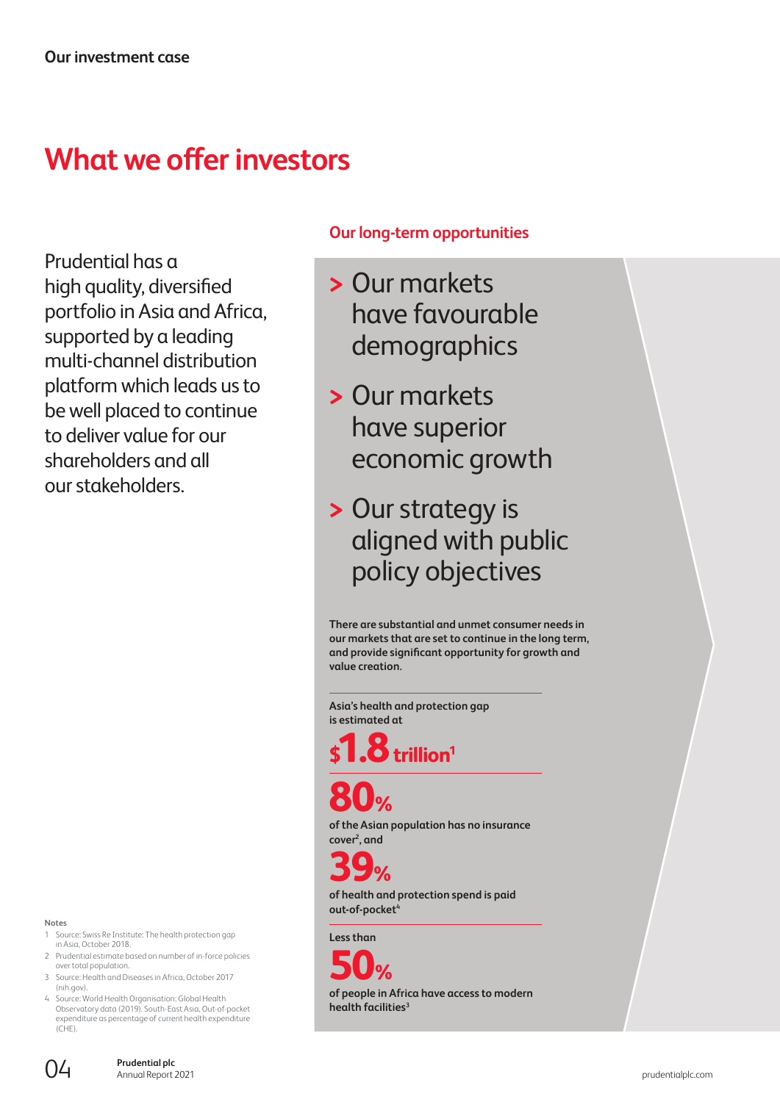# **What we offer investors**

Prudential has a high quality, diversified portfolio in Asia and Africa, supported by a leading multi-channel distribution platform which leads us to be well placed to continue to deliver value for our shareholders and all our stakeholders.

### **Notes**

- 1 Source: Swiss Re Institute: The health protection gap in Asia, October 2018.
- 2 Prudential estimate based on number of in-force policies over total population.
- 3 Source: Health and Diseases in Africa, October 2017 (nih.gov).
- Source: World Health Organisation: Global Health Observatory data (2019). South-East Asia, Out-of-pocket expenditure as percentage of current health expenditure  $(CHF)$

## **Our long-term opportunities**

- **>** Our markets have favourable demographics
- **>** Our markets have superior economic growth
- **>** Our strategy is aligned with public policy objectives

**There are substantial and unmet consumer needs in our markets that are set to continue in the long term, and provide significant opportunity for growth and value creation.**

**Asia's health and protection gap is estimated at**

**8** trillion<sup>1</sup>

**80%**

**of the Asian population has no insurance cover2, and** 

**39%**

**of health and protection spend is paid out-of-pocket4**

**Less than**



**of people in Africa have access to modern health facilities3**